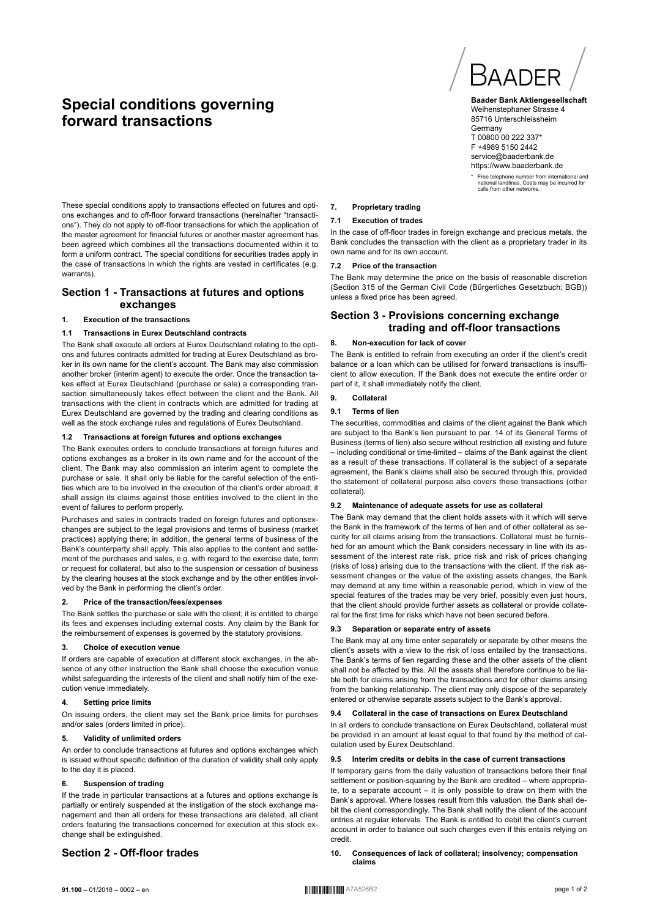# **Special conditions governing forward transactions**



**Baader Bank Aktiengesellschaft** Weihenstephaner Strasse 4 85716 Unterschleissheim **Germany** T 00800 00 222 337\* F +4989 5150 2442 service@baaderbank.de https://www.baaderbank.de

\* Free telephone number from international and national landlines. Costs may be incurred for calls from other networks.

These special conditions apply to transactions effected on futures and options exchanges and to off-floor forward transactions (hereinafter "transactions"). They do not apply to off-floor transactions for which the application of the master agreement for financial futures or another master agreement has been agreed which combines all the transactions documented within it to form a uniform contract. The special conditions for securities trades apply in the case of transactions in which the rights are vested in certificates (e.g. warrants).

# **Section 1 - Transactions at futures and options exchanges**

# **1. Execution of the transactions**

# **1.1 Transactions in Eurex Deutschland contracts**

The Bank shall execute all orders at Eurex Deutschland relating to the options and futures contracts admitted for trading at Eurex Deutschland as broker in its own name for the client's account. The Bank may also commission another broker (interim agent) to execute the order. Once the transaction takes effect at Eurex Deutschland (purchase or sale) a corresponding transaction simultaneously takes effect between the client and the Bank. All transactions with the client in contracts which are admitted for trading at Eurex Deutschland are governed by the trading and clearing conditions as well as the stock exchange rules and regulations of Eurex Deutschland.

# **1.2 Transactions at foreign futures and options exchanges**

The Bank executes orders to conclude transactions at foreign futures and options exchanges as a broker in its own name and for the account of the client. The Bank may also commission an interim agent to complete the purchase or sale. It shall only be liable for the careful selection of the entities which are to be involved in the execution of the client's order abroad; it shall assign its claims against those entities involved to the client in the event of failures to perform properly.

Purchases and sales in contracts traded on foreign futures and optionsexchanges are subject to the legal provisions and terms of business (market practices) applying there; in addition, the general terms of business of the Bank's counterparty shall apply. This also applies to the content and settlement of the purchases and sales, e.g. with regard to the exercise date, term or request for collateral, but also to the suspension or cessation of business by the clearing houses at the stock exchange and by the other entities involved by the Bank in performing the client's order.

# **2. Price of the transaction/fees/expenses**

The Bank settles the purchase or sale with the client; it is entitled to charge its fees and expenses including external costs. Any claim by the Bank for the reimbursement of expenses is governed by the statutory provisions.

# **3. Choice of execution venue**

If orders are capable of execution at different stock exchanges, in the absence of any other instruction the Bank shall choose the execution venue whilst safeguarding the interests of the client and shall notify him of the execution venue immediately.

# **4. Setting price limits**

On issuing orders, the client may set the Bank price limits for purchses and/or sales (orders limited in price).

# **5. Validity of unlimited orders**

An order to conclude transactions at futures and options exchanges which is issued without specific definition of the duration of validity shall only apply to the day it is placed.

# **6. Suspension of trading**

If the trade in particular transactions at a futures and options exchange is partially or entirely suspended at the instigation of the stock exchange management and then all orders for these transactions are deleted, all client orders featuring the transactions concerned for execution at this stock exchange shall be extinguished.

# **Section 2 - Off-floor trades**

# **7. Proprietary trading**

# **7.1 Execution of trades**

In the case of off-floor trades in foreign exchange and precious metals, the Bank concludes the transaction with the client as a proprietary trader in its own name and for its own account.

# **7.2 Price of the transaction**

The Bank may determine the price on the basis of reasonable discretion (Section 315 of the German Civil Code (Bürgerliches Gesetzbuch; BGB)) unless a fixed price has been agreed.

# **Section 3 - Provisions concerning exchange trading and off-floor transactions**

# **8. Non-execution for lack of cover**

The Bank is entitled to refrain from executing an order if the client's credit balance or a loan which can be utilised for forward transactions is insufficient to allow execution. If the Bank does not execute the entire order or part of it, it shall immediately notify the client.

# **9. Collateral**

# **9.1 Terms of lien**

The securities, commodities and claims of the client against the Bank which are subject to the Bank's lien pursuant to par. 14 of its General Terms of Business (terms of lien) also secure without restriction all existing and future – including conditional or time-limited – claims of the Bank against the client as a result of these transactions. If collateral is the subject of a separate agreement, the Bank's claims shall also be secured through this, provided the statement of collateral purpose also covers these transactions (other collateral).

# **9.2 Maintenance of adequate assets for use as collateral**

The Bank may demand that the client holds assets with it which will serve the Bank in the framework of the terms of lien and of other collateral as security for all claims arising from the transactions. Collateral must be furnished for an amount which the Bank considers necessary in line with its assessment of the interest rate risk, price risk and risk of prices changing (risks of loss) arising due to the transactions with the client. If the risk assessment changes or the value of the existing assets changes, the Bank may demand at any time within a reasonable period, which in view of the special features of the trades may be very brief, possibly even just hours, that the client should provide further assets as collateral or provide collateral for the first time for risks which have not been secured before.

# **9.3 Separation or separate entry of assets**

The Bank may at any time enter separately or separate by other means the client's assets with a view to the risk of loss entailed by the transactions. The Bank's terms of lien regarding these and the other assets of the client shall not be affected by this. All the assets shall therefore continue to be liable both for claims arising from the transactions and for other claims arising from the banking relationship. The client may only dispose of the separately entered or otherwise separate assets subject to the Bank's approval.

# **9.4 Collateral in the case of transactions on Eurex Deutschland**

In all orders to conclude transactions on Eurex Deutschland, collateral must be provided in an amount at least equal to that found by the method of calculation used by Eurex Deutschland.

#### **9.5 Interim credits or debits in the case of current transactions**

If temporary gains from the daily valuation of transactions before their final settlement or position-squaring by the Bank are credited – where appropriate, to a separate account – it is only possible to draw on them with the Bank's approval. Where losses result from this valuation, the Bank shall debit the client correspondingly. The Bank shall notify the client of the account entries at regular intervals. The Bank is entitled to debit the client's current account in order to balance out such charges even if this entails relying on credit.

**10. Consequences of lack of collateral; insolvency; compensation claims**